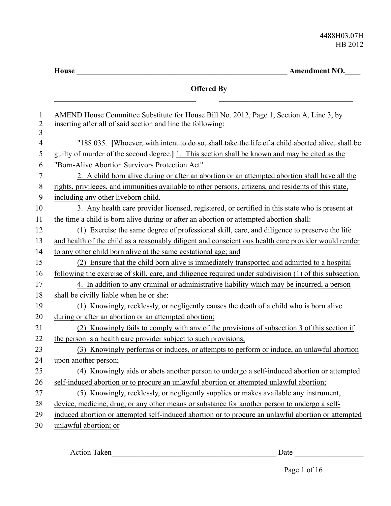|                      | House<br><b>Amendment NO.</b>                                                                                                                          |
|----------------------|--------------------------------------------------------------------------------------------------------------------------------------------------------|
|                      | <b>Offered By</b>                                                                                                                                      |
| 1<br>$\sqrt{2}$<br>3 | AMEND House Committee Substitute for House Bill No. 2012, Page 1, Section A, Line 3, by<br>inserting after all of said section and line the following: |
| 4                    | "188.035. [Whoever, with intent to do so, shall take the life of a child aborted alive, shall be                                                       |
| 5                    | guilty of murder of the second degree.] 1. This section shall be known and may be cited as the                                                         |
| 6                    | "Born-Alive Abortion Survivors Protection Act".                                                                                                        |
| 7                    | 2. A child born alive during or after an abortion or an attempted abortion shall have all the                                                          |
| 8                    | rights, privileges, and immunities available to other persons, citizens, and residents of this state,                                                  |
| 9                    | including any other liveborn child.                                                                                                                    |
| 10                   | 3. Any health care provider licensed, registered, or certified in this state who is present at                                                         |
| 11                   | the time a child is born alive during or after an abortion or attempted abortion shall:                                                                |
| 12                   | (1) Exercise the same degree of professional skill, care, and diligence to preserve the life                                                           |
| 13                   | and health of the child as a reasonably diligent and conscientious health care provider would render                                                   |
| 14                   | to any other child born alive at the same gestational age; and                                                                                         |
| 15                   | (2) Ensure that the child born alive is immediately transported and admitted to a hospital                                                             |
| 16                   | following the exercise of skill, care, and diligence required under subdivision (1) of this subsection.                                                |
| 17                   | 4. In addition to any criminal or administrative liability which may be incurred, a person                                                             |
| 18                   | shall be civilly liable when he or she:                                                                                                                |
| 19                   | (1) Knowingly, recklessly, or negligently causes the death of a child who is born alive                                                                |
| 20                   | during or after an abortion or an attempted abortion;                                                                                                  |
| 21                   | (2) Knowingly fails to comply with any of the provisions of subsection 3 of this section if                                                            |
| 22                   | the person is a health care provider subject to such provisions;                                                                                       |
| 23                   | (3) Knowingly performs or induces, or attempts to perform or induce, an unlawful abortion                                                              |
| 24                   | upon another person;                                                                                                                                   |
| 25                   | (4) Knowingly aids or abets another person to undergo a self-induced abortion or attempted                                                             |
| 26                   | self-induced abortion or to procure an unlawful abortion or attempted unlawful abortion;                                                               |
| 27                   | (5) Knowingly, recklessly, or negligently supplies or makes available any instrument,                                                                  |
| 28                   | device, medicine, drug, or any other means or substance for another person to undergo a self-                                                          |
| 29                   | induced abortion or attempted self-induced abortion or to procure an unlawful abortion or attempted                                                    |
| 30                   | unlawful abortion; or                                                                                                                                  |

Action Taken\_\_\_\_\_\_\_\_\_\_\_\_\_\_\_\_\_\_\_\_\_\_\_\_\_\_\_\_\_\_\_\_\_\_\_\_\_\_\_\_\_\_\_ Date \_\_\_\_\_\_\_\_\_\_\_\_\_\_\_\_\_\_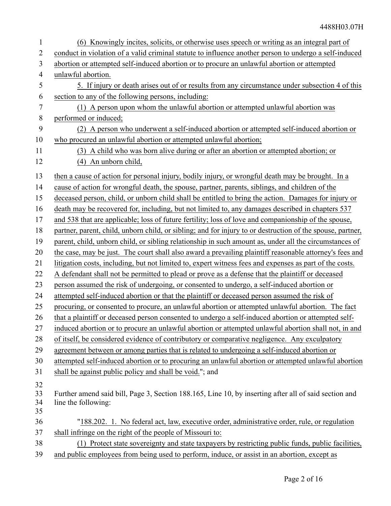| $\mathbf{1}$   | (6) Knowingly incites, solicits, or otherwise uses speech or writing as an integral part of                |
|----------------|------------------------------------------------------------------------------------------------------------|
| $\overline{2}$ | conduct in violation of a valid criminal statute to influence another person to undergo a self-induced     |
| 3              | abortion or attempted self-induced abortion or to procure an unlawful abortion or attempted                |
| $\overline{4}$ | unlawful abortion.                                                                                         |
| 5              | 5. If injury or death arises out of or results from any circumstance under subsection 4 of this            |
| 6              | section to any of the following persons, including:                                                        |
| 7              | (1) A person upon whom the unlawful abortion or attempted unlawful abortion was                            |
| 8              | performed or induced;                                                                                      |
| 9              | (2) A person who underwent a self-induced abortion or attempted self-induced abortion or                   |
| 10             | who procured an unlawful abortion or attempted unlawful abortion;                                          |
| 11             | (3) A child who was born alive during or after an abortion or attempted abortion; or                       |
| 12             | (4) An unborn child,                                                                                       |
| 13             | then a cause of action for personal injury, bodily injury, or wrongful death may be brought. In a          |
| 14             | cause of action for wrongful death, the spouse, partner, parents, siblings, and children of the            |
| 15             | deceased person, child, or unborn child shall be entitled to bring the action. Damages for injury or       |
| 16             | death may be recovered for, including, but not limited to, any damages described in chapters 537           |
| 17             | and 538 that are applicable; loss of future fertility; loss of love and companionship of the spouse,       |
| 18             | partner, parent, child, unborn child, or sibling; and for injury to or destruction of the spouse, partner, |
| 19             | parent, child, unborn child, or sibling relationship in such amount as, under all the circumstances of     |
| 20             | the case, may be just. The court shall also award a prevailing plaintiff reasonable attorney's fees and    |
| 21             | litigation costs, including, but not limited to, expert witness fees and expenses as part of the costs.    |
| 22             | A defendant shall not be permitted to plead or prove as a defense that the plaintiff or deceased           |
| 23             | person assumed the risk of undergoing, or consented to undergo, a self-induced abortion or                 |
|                |                                                                                                            |
| 24             | attempted self-induced abortion or that the plaintiff or deceased person assumed the risk of               |
| 25             | procuring, or consented to procure, an unlawful abortion or attempted unlawful abortion. The fact          |
| 26             | that a plaintiff or deceased person consented to undergo a self-induced abortion or attempted self-        |
| 27             | induced abortion or to procure an unlawful abortion or attempted unlawful abortion shall not, in and       |
| 28             | of itself, be considered evidence of contributory or comparative negligence. Any exculpatory               |
| 29             | agreement between or among parties that is related to undergoing a self-induced abortion or                |
| 30             | attempted self-induced abortion or to procuring an unlawful abortion or attempted unlawful abortion        |
| 31             | shall be against public policy and shall be void."; and                                                    |
| 32             |                                                                                                            |
| 33             | Further amend said bill, Page 3, Section 188.165, Line 10, by inserting after all of said section and      |
| 34<br>35       | line the following:                                                                                        |
| 36             | "188.202. 1. No federal act, law, executive order, administrative order, rule, or regulation               |
| 37             | shall infringe on the right of the people of Missouri to:                                                  |
| 38             | (1) Protect state sovereignty and state taxpayers by restricting public funds, public facilities,          |
| 39             | and public employees from being used to perform, induce, or assist in an abortion, except as               |
|                |                                                                                                            |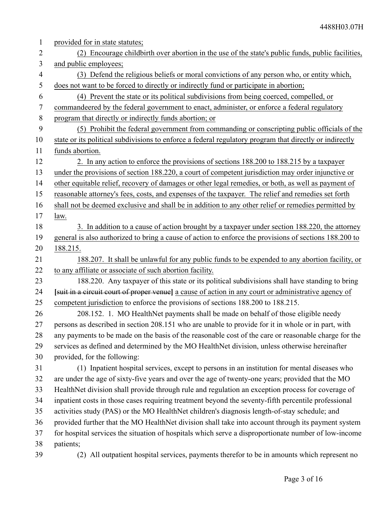| $\mathbf{1}$   | provided for in state statutes;                                                                         |
|----------------|---------------------------------------------------------------------------------------------------------|
| $\overline{2}$ | (2) Encourage childbirth over abortion in the use of the state's public funds, public facilities,       |
| 3              | and public employees;                                                                                   |
| $\overline{4}$ | (3) Defend the religious beliefs or moral convictions of any person who, or entity which,               |
| 5              | does not want to be forced to directly or indirectly fund or participate in abortion;                   |
| 6              | (4) Prevent the state or its political subdivisions from being coerced, compelled, or                   |
| 7              | commandeered by the federal government to enact, administer, or enforce a federal regulatory            |
| 8              | program that directly or indirectly funds abortion; or                                                  |
| 9              | (5) Prohibit the federal government from commanding or conscripting public officials of the             |
| 10             | state or its political subdivisions to enforce a federal regulatory program that directly or indirectly |
| 11             | funds abortion.                                                                                         |
| 12             | 2. In any action to enforce the provisions of sections 188.200 to 188.215 by a taxpayer                 |
| 13             | under the provisions of section 188.220, a court of competent jurisdiction may order injunctive or      |
| 14             | other equitable relief, recovery of damages or other legal remedies, or both, as well as payment of     |
| 15             | reasonable attorney's fees, costs, and expenses of the taxpayer. The relief and remedies set forth      |
| 16             | shall not be deemed exclusive and shall be in addition to any other relief or remedies permitted by     |
| 17             | law.                                                                                                    |
| 18             | 3. In addition to a cause of action brought by a taxpayer under section 188.220, the attorney           |
| 19             | general is also authorized to bring a cause of action to enforce the provisions of sections 188.200 to  |
| 20             | 188.215.                                                                                                |
| 21             | 188.207. It shall be unlawful for any public funds to be expended to any abortion facility, or          |
| 22             | to any affiliate or associate of such abortion facility.                                                |
| 23             | 188.220. Any taxpayer of this state or its political subdivisions shall have standing to bring          |
| 24             | [suit in a circuit court of proper venue] a cause of action in any court or administrative agency of    |
| 25             | competent jurisdiction to enforce the provisions of sections 188.200 to 188.215.                        |
| 26             | 208.152. 1. MO HealthNet payments shall be made on behalf of those eligible needy                       |
| 27             | persons as described in section 208.151 who are unable to provide for it in whole or in part, with      |
| 28             | any payments to be made on the basis of the reasonable cost of the care or reasonable charge for the    |
| 29             | services as defined and determined by the MO HealthNet division, unless otherwise hereinafter           |
| 30             | provided, for the following:                                                                            |
| 31             | (1) Inpatient hospital services, except to persons in an institution for mental diseases who            |
| 32             | are under the age of sixty-five years and over the age of twenty-one years; provided that the MO        |
| 33             | HealthNet division shall provide through rule and regulation an exception process for coverage of       |
| 34             | inpatient costs in those cases requiring treatment beyond the seventy-fifth percentile professional     |
| 35             | activities study (PAS) or the MO HealthNet children's diagnosis length-of-stay schedule; and            |
| 36             | provided further that the MO HealthNet division shall take into account through its payment system      |
| 37             | for hospital services the situation of hospitals which serve a disproportionate number of low-income    |
| 38             | patients;                                                                                               |
| 39             | (2) All outpatient hospital services, payments therefor to be in amounts which represent no             |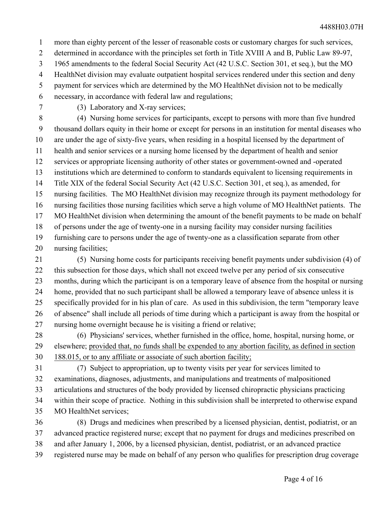more than eighty percent of the lesser of reasonable costs or customary charges for such services, 1

determined in accordance with the principles set forth in Title XVIII A and B, Public Law 89-97, 2

1965 amendments to the federal Social Security Act (42 U.S.C. Section 301, et seq.), but the MO 3

HealthNet division may evaluate outpatient hospital services rendered under this section and deny 4

payment for services which are determined by the MO HealthNet division not to be medically 5

necessary, in accordance with federal law and regulations; 6

7

(3) Laboratory and X-ray services;

(4) Nursing home services for participants, except to persons with more than five hundred thousand dollars equity in their home or except for persons in an institution for mental diseases who are under the age of sixty-five years, when residing in a hospital licensed by the department of health and senior services or a nursing home licensed by the department of health and senior services or appropriate licensing authority of other states or government-owned and -operated institutions which are determined to conform to standards equivalent to licensing requirements in Title XIX of the federal Social Security Act (42 U.S.C. Section 301, et seq.), as amended, for nursing facilities. The MO HealthNet division may recognize through its payment methodology for nursing facilities those nursing facilities which serve a high volume of MO HealthNet patients. The MO HealthNet division when determining the amount of the benefit payments to be made on behalf of persons under the age of twenty-one in a nursing facility may consider nursing facilities furnishing care to persons under the age of twenty-one as a classification separate from other 8 9 10 11 12 13 14 15 16 17 18 19

nursing facilities; 20

(5) Nursing home costs for participants receiving benefit payments under subdivision (4) of this subsection for those days, which shall not exceed twelve per any period of six consecutive months, during which the participant is on a temporary leave of absence from the hospital or nursing home, provided that no such participant shall be allowed a temporary leave of absence unless it is specifically provided for in his plan of care. As used in this subdivision, the term "temporary leave of absence" shall include all periods of time during which a participant is away from the hospital or nursing home overnight because he is visiting a friend or relative; 21 22 23 24 25 26 27

(6) Physicians' services, whether furnished in the office, home, hospital, nursing home, or elsewhere; provided that, no funds shall be expended to any abortion facility, as defined in section 188.015, or to any affiliate or associate of such abortion facility; 28 29 30

(7) Subject to appropriation, up to twenty visits per year for services limited to examinations, diagnoses, adjustments, and manipulations and treatments of malpositioned articulations and structures of the body provided by licensed chiropractic physicians practicing 31 32 33

within their scope of practice. Nothing in this subdivision shall be interpreted to otherwise expand MO HealthNet services; 34 35

(8) Drugs and medicines when prescribed by a licensed physician, dentist, podiatrist, or an advanced practice registered nurse; except that no payment for drugs and medicines prescribed on and after January 1, 2006, by a licensed physician, dentist, podiatrist, or an advanced practice registered nurse may be made on behalf of any person who qualifies for prescription drug coverage 36 37 38 39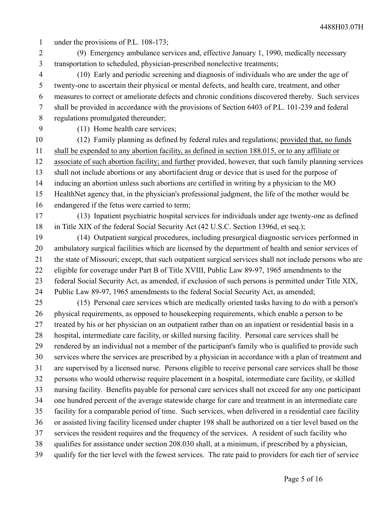- under the provisions of P.L. 108-173; 1
- (9) Emergency ambulance services and, effective January 1, 1990, medically necessary transportation to scheduled, physician-prescribed nonelective treatments; 2 3

(10) Early and periodic screening and diagnosis of individuals who are under the age of twenty-one to ascertain their physical or mental defects, and health care, treatment, and other measures to correct or ameliorate defects and chronic conditions discovered thereby. Such services shall be provided in accordance with the provisions of Section 6403 of P.L. 101-239 and federal regulations promulgated thereunder; 4 5 6 7 8

9

(11) Home health care services;

(12) Family planning as defined by federal rules and regulations; provided that, no funds shall be expended to any abortion facility, as defined in section 188.015, or to any affiliate or associate of such abortion facility; and further provided, however, that such family planning services shall not include abortions or any abortifacient drug or device that is used for the purpose of inducing an abortion unless such abortions are certified in writing by a physician to the MO HealthNet agency that, in the physician's professional judgment, the life of the mother would be endangered if the fetus were carried to term; 10 11 12 13 14 15 16

(13) Inpatient psychiatric hospital services for individuals under age twenty-one as defined in Title XIX of the federal Social Security Act (42 U.S.C. Section 1396d, et seq.); 17 18

(14) Outpatient surgical procedures, including presurgical diagnostic services performed in ambulatory surgical facilities which are licensed by the department of health and senior services of the state of Missouri; except, that such outpatient surgical services shall not include persons who are eligible for coverage under Part B of Title XVIII, Public Law 89-97, 1965 amendments to the federal Social Security Act, as amended, if exclusion of such persons is permitted under Title XIX, Public Law 89-97, 1965 amendments to the federal Social Security Act, as amended; 19 20 21 22 23 24

(15) Personal care services which are medically oriented tasks having to do with a person's physical requirements, as opposed to housekeeping requirements, which enable a person to be treated by his or her physician on an outpatient rather than on an inpatient or residential basis in a hospital, intermediate care facility, or skilled nursing facility. Personal care services shall be rendered by an individual not a member of the participant's family who is qualified to provide such services where the services are prescribed by a physician in accordance with a plan of treatment and are supervised by a licensed nurse. Persons eligible to receive personal care services shall be those persons who would otherwise require placement in a hospital, intermediate care facility, or skilled nursing facility. Benefits payable for personal care services shall not exceed for any one participant one hundred percent of the average statewide charge for care and treatment in an intermediate care facility for a comparable period of time. Such services, when delivered in a residential care facility or assisted living facility licensed under chapter 198 shall be authorized on a tier level based on the services the resident requires and the frequency of the services. A resident of such facility who qualifies for assistance under section 208.030 shall, at a minimum, if prescribed by a physician, qualify for the tier level with the fewest services. The rate paid to providers for each tier of service 25 26 27 28 29 30 31 32 33 34 35 36 37 38 39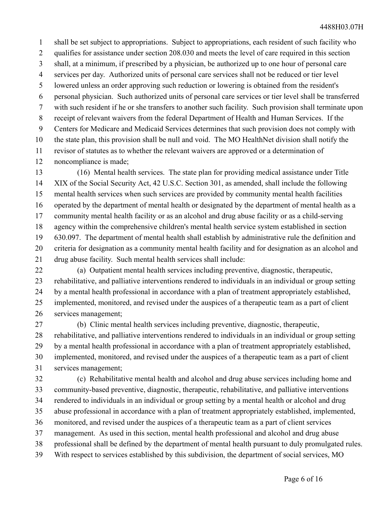shall be set subject to appropriations. Subject to appropriations, each resident of such facility who qualifies for assistance under section 208.030 and meets the level of care required in this section shall, at a minimum, if prescribed by a physician, be authorized up to one hour of personal care services per day. Authorized units of personal care services shall not be reduced or tier level lowered unless an order approving such reduction or lowering is obtained from the resident's personal physician. Such authorized units of personal care services or tier level shall be transferred with such resident if he or she transfers to another such facility. Such provision shall terminate upon receipt of relevant waivers from the federal Department of Health and Human Services. If the Centers for Medicare and Medicaid Services determines that such provision does not comply with the state plan, this provision shall be null and void. The MO HealthNet division shall notify the revisor of statutes as to whether the relevant waivers are approved or a determination of noncompliance is made; 1 2 3 4 5 6 7 8 9 10 11 12

(16) Mental health services. The state plan for providing medical assistance under Title XIX of the Social Security Act, 42 U.S.C. Section 301, as amended, shall include the following mental health services when such services are provided by community mental health facilities operated by the department of mental health or designated by the department of mental health as a community mental health facility or as an alcohol and drug abuse facility or as a child-serving agency within the comprehensive children's mental health service system established in section 630.097. The department of mental health shall establish by administrative rule the definition and criteria for designation as a community mental health facility and for designation as an alcohol and drug abuse facility. Such mental health services shall include: 13 14 15 16 17 18 19 20 21

(a) Outpatient mental health services including preventive, diagnostic, therapeutic, rehabilitative, and palliative interventions rendered to individuals in an individual or group setting by a mental health professional in accordance with a plan of treatment appropriately established, implemented, monitored, and revised under the auspices of a therapeutic team as a part of client services management; 22 23 24 25 26

(b) Clinic mental health services including preventive, diagnostic, therapeutic, rehabilitative, and palliative interventions rendered to individuals in an individual or group setting by a mental health professional in accordance with a plan of treatment appropriately established, implemented, monitored, and revised under the auspices of a therapeutic team as a part of client services management; 27 28 29 30 31

(c) Rehabilitative mental health and alcohol and drug abuse services including home and community-based preventive, diagnostic, therapeutic, rehabilitative, and palliative interventions rendered to individuals in an individual or group setting by a mental health or alcohol and drug abuse professional in accordance with a plan of treatment appropriately established, implemented, monitored, and revised under the auspices of a therapeutic team as a part of client services management. As used in this section, mental health professional and alcohol and drug abuse professional shall be defined by the department of mental health pursuant to duly promulgated rules. With respect to services established by this subdivision, the department of social services, MO 32 33 34 35 36 37 38 39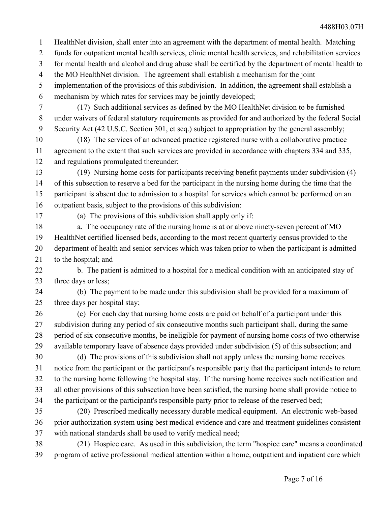HealthNet division, shall enter into an agreement with the department of mental health. Matching 1

- funds for outpatient mental health services, clinic mental health services, and rehabilitation services 2
- for mental health and alcohol and drug abuse shall be certified by the department of mental health to 3
- the MO HealthNet division. The agreement shall establish a mechanism for the joint 4
- implementation of the provisions of this subdivision. In addition, the agreement shall establish a mechanism by which rates for services may be jointly developed; 5 6
- 7

(17) Such additional services as defined by the MO HealthNet division to be furnished under waivers of federal statutory requirements as provided for and authorized by the federal Social Security Act (42 U.S.C. Section 301, et seq.) subject to appropriation by the general assembly; 8 9

(18) The services of an advanced practice registered nurse with a collaborative practice agreement to the extent that such services are provided in accordance with chapters 334 and 335, and regulations promulgated thereunder; 10 11 12

(19) Nursing home costs for participants receiving benefit payments under subdivision (4) of this subsection to reserve a bed for the participant in the nursing home during the time that the participant is absent due to admission to a hospital for services which cannot be performed on an outpatient basis, subject to the provisions of this subdivision: 13 14 15 16

17

(a) The provisions of this subdivision shall apply only if:

a. The occupancy rate of the nursing home is at or above ninety-seven percent of MO HealthNet certified licensed beds, according to the most recent quarterly census provided to the department of health and senior services which was taken prior to when the participant is admitted to the hospital; and 18 19 20 21

b. The patient is admitted to a hospital for a medical condition with an anticipated stay of three days or less; 22 23

24

(b) The payment to be made under this subdivision shall be provided for a maximum of three days per hospital stay; 25

(c) For each day that nursing home costs are paid on behalf of a participant under this subdivision during any period of six consecutive months such participant shall, during the same period of six consecutive months, be ineligible for payment of nursing home costs of two otherwise available temporary leave of absence days provided under subdivision (5) of this subsection; and 26 27 28 29

(d) The provisions of this subdivision shall not apply unless the nursing home receives notice from the participant or the participant's responsible party that the participant intends to return to the nursing home following the hospital stay. If the nursing home receives such notification and all other provisions of this subsection have been satisfied, the nursing home shall provide notice to the participant or the participant's responsible party prior to release of the reserved bed; 30 31 32 33 34

(20) Prescribed medically necessary durable medical equipment. An electronic web-based prior authorization system using best medical evidence and care and treatment guidelines consistent with national standards shall be used to verify medical need; 35 36 37

(21) Hospice care. As used in this subdivision, the term "hospice care" means a coordinated program of active professional medical attention within a home, outpatient and inpatient care which 38 39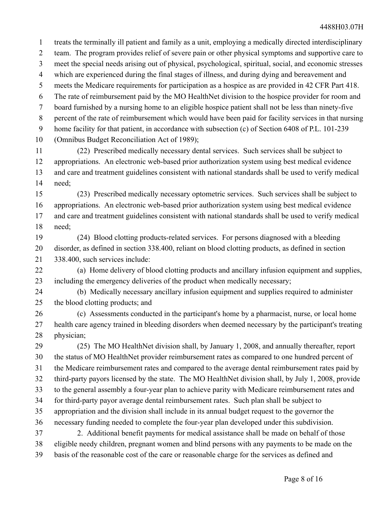treats the terminally ill patient and family as a unit, employing a medically directed interdisciplinary team. The program provides relief of severe pain or other physical symptoms and supportive care to meet the special needs arising out of physical, psychological, spiritual, social, and economic stresses which are experienced during the final stages of illness, and during dying and bereavement and meets the Medicare requirements for participation as a hospice as are provided in 42 CFR Part 418. The rate of reimbursement paid by the MO HealthNet division to the hospice provider for room and board furnished by a nursing home to an eligible hospice patient shall not be less than ninety-five percent of the rate of reimbursement which would have been paid for facility services in that nursing home facility for that patient, in accordance with subsection (c) of Section 6408 of P.L. 101-239 (Omnibus Budget Reconciliation Act of 1989); (22) Prescribed medically necessary dental services. Such services shall be subject to appropriations. An electronic web-based prior authorization system using best medical evidence and care and treatment guidelines consistent with national standards shall be used to verify medical need; (23) Prescribed medically necessary optometric services. Such services shall be subject to appropriations. An electronic web-based prior authorization system using best medical evidence and care and treatment guidelines consistent with national standards shall be used to verify medical need; (24) Blood clotting products-related services. For persons diagnosed with a bleeding disorder, as defined in section 338.400, reliant on blood clotting products, as defined in section 338.400, such services include: (a) Home delivery of blood clotting products and ancillary infusion equipment and supplies, including the emergency deliveries of the product when medically necessary; (b) Medically necessary ancillary infusion equipment and supplies required to administer the blood clotting products; and (c) Assessments conducted in the participant's home by a pharmacist, nurse, or local home health care agency trained in bleeding disorders when deemed necessary by the participant's treating physician; 1 2 3 4 5 6 7 8 9 10 11 12 13 14 15 16 17 18 19 20 21 22 23 24 25 26 27 28

(25) The MO HealthNet division shall, by January 1, 2008, and annually thereafter, report the status of MO HealthNet provider reimbursement rates as compared to one hundred percent of the Medicare reimbursement rates and compared to the average dental reimbursement rates paid by third-party payors licensed by the state. The MO HealthNet division shall, by July 1, 2008, provide to the general assembly a four-year plan to achieve parity with Medicare reimbursement rates and for third-party payor average dental reimbursement rates. Such plan shall be subject to appropriation and the division shall include in its annual budget request to the governor the necessary funding needed to complete the four-year plan developed under this subdivision. 2. Additional benefit payments for medical assistance shall be made on behalf of those eligible needy children, pregnant women and blind persons with any payments to be made on the basis of the reasonable cost of the care or reasonable charge for the services as defined and 29 30 31 32 33 34 35 36 37 38 39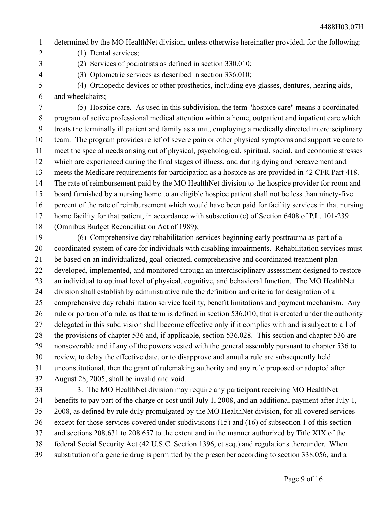- determined by the MO HealthNet division, unless otherwise hereinafter provided, for the following: 1
- (1) Dental services; 2

3 4

- (2) Services of podiatrists as defined in section 330.010;
- (3) Optometric services as described in section 336.010;
- (4) Orthopedic devices or other prosthetics, including eye glasses, dentures, hearing aids, and wheelchairs; 5 6

(5) Hospice care. As used in this subdivision, the term "hospice care" means a coordinated program of active professional medical attention within a home, outpatient and inpatient care which treats the terminally ill patient and family as a unit, employing a medically directed interdisciplinary team. The program provides relief of severe pain or other physical symptoms and supportive care to meet the special needs arising out of physical, psychological, spiritual, social, and economic stresses which are experienced during the final stages of illness, and during dying and bereavement and meets the Medicare requirements for participation as a hospice as are provided in 42 CFR Part 418. The rate of reimbursement paid by the MO HealthNet division to the hospice provider for room and board furnished by a nursing home to an eligible hospice patient shall not be less than ninety-five percent of the rate of reimbursement which would have been paid for facility services in that nursing home facility for that patient, in accordance with subsection (c) of Section 6408 of P.L. 101-239 (Omnibus Budget Reconciliation Act of 1989); 7 8 9 10 11 12 13 14 15 16 17 18

(6) Comprehensive day rehabilitation services beginning early posttrauma as part of a coordinated system of care for individuals with disabling impairments. Rehabilitation services must be based on an individualized, goal-oriented, comprehensive and coordinated treatment plan developed, implemented, and monitored through an interdisciplinary assessment designed to restore an individual to optimal level of physical, cognitive, and behavioral function. The MO HealthNet division shall establish by administrative rule the definition and criteria for designation of a comprehensive day rehabilitation service facility, benefit limitations and payment mechanism. Any rule or portion of a rule, as that term is defined in section 536.010, that is created under the authority delegated in this subdivision shall become effective only if it complies with and is subject to all of the provisions of chapter 536 and, if applicable, section 536.028. This section and chapter 536 are nonseverable and if any of the powers vested with the general assembly pursuant to chapter 536 to review, to delay the effective date, or to disapprove and annul a rule are subsequently held unconstitutional, then the grant of rulemaking authority and any rule proposed or adopted after August 28, 2005, shall be invalid and void. 19 20 21 22 23 24 25 26 27 28 29 30 31 32

3. The MO HealthNet division may require any participant receiving MO HealthNet benefits to pay part of the charge or cost until July 1, 2008, and an additional payment after July 1, 2008, as defined by rule duly promulgated by the MO HealthNet division, for all covered services except for those services covered under subdivisions (15) and (16) of subsection 1 of this section and sections 208.631 to 208.657 to the extent and in the manner authorized by Title XIX of the federal Social Security Act (42 U.S.C. Section 1396, et seq.) and regulations thereunder. When substitution of a generic drug is permitted by the prescriber according to section 338.056, and a 33 34 35 36 37 38 39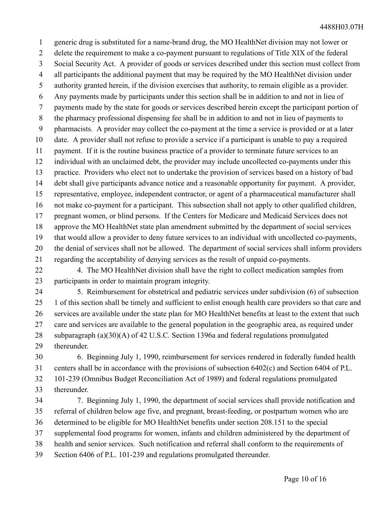generic drug is substituted for a name-brand drug, the MO HealthNet division may not lower or delete the requirement to make a co-payment pursuant to regulations of Title XIX of the federal Social Security Act. A provider of goods or services described under this section must collect from all participants the additional payment that may be required by the MO HealthNet division under authority granted herein, if the division exercises that authority, to remain eligible as a provider. Any payments made by participants under this section shall be in addition to and not in lieu of payments made by the state for goods or services described herein except the participant portion of the pharmacy professional dispensing fee shall be in addition to and not in lieu of payments to pharmacists. A provider may collect the co-payment at the time a service is provided or at a later date. A provider shall not refuse to provide a service if a participant is unable to pay a required payment. If it is the routine business practice of a provider to terminate future services to an individual with an unclaimed debt, the provider may include uncollected co-payments under this practice. Providers who elect not to undertake the provision of services based on a history of bad debt shall give participants advance notice and a reasonable opportunity for payment. A provider, representative, employee, independent contractor, or agent of a pharmaceutical manufacturer shall not make co-payment for a participant. This subsection shall not apply to other qualified children, pregnant women, or blind persons. If the Centers for Medicare and Medicaid Services does not approve the MO HealthNet state plan amendment submitted by the department of social services that would allow a provider to deny future services to an individual with uncollected co-payments, the denial of services shall not be allowed. The department of social services shall inform providers regarding the acceptability of denying services as the result of unpaid co-payments. 1 2 3 4 5 6 7 8 9 10 11 12 13 14 15 16 17 18 19 20 21

4. The MO HealthNet division shall have the right to collect medication samples from participants in order to maintain program integrity. 22 23

5. Reimbursement for obstetrical and pediatric services under subdivision (6) of subsection 1 of this section shall be timely and sufficient to enlist enough health care providers so that care and services are available under the state plan for MO HealthNet benefits at least to the extent that such care and services are available to the general population in the geographic area, as required under subparagraph (a)(30)(A) of 42 U.S.C. Section 1396a and federal regulations promulgated thereunder. 24 25 26 27 28 29

6. Beginning July 1, 1990, reimbursement for services rendered in federally funded health centers shall be in accordance with the provisions of subsection 6402(c) and Section 6404 of P.L. 101-239 (Omnibus Budget Reconciliation Act of 1989) and federal regulations promulgated thereunder. 30 31 32 33

7. Beginning July 1, 1990, the department of social services shall provide notification and referral of children below age five, and pregnant, breast-feeding, or postpartum women who are determined to be eligible for MO HealthNet benefits under section 208.151 to the special supplemental food programs for women, infants and children administered by the department of health and senior services. Such notification and referral shall conform to the requirements of Section 6406 of P.L. 101-239 and regulations promulgated thereunder. 34 35 36 37 38 39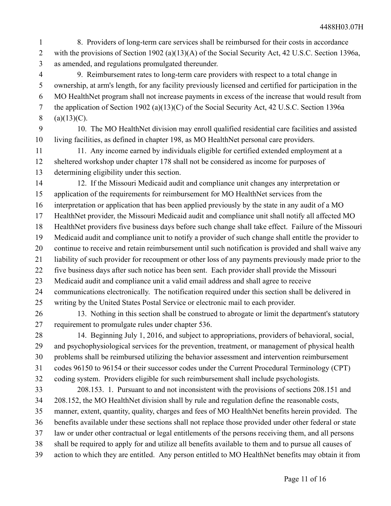- 8. Providers of long-term care services shall be reimbursed for their costs in accordance with the provisions of Section 1902 (a)(13)(A) of the Social Security Act, 42 U.S.C. Section 1396a, as amended, and regulations promulgated thereunder. 1 2 3
- 9. Reimbursement rates to long-term care providers with respect to a total change in ownership, at arm's length, for any facility previously licensed and certified for participation in the MO HealthNet program shall not increase payments in excess of the increase that would result from the application of Section 1902 (a)(13)(C) of the Social Security Act, 42 U.S.C. Section 1396a  $(a)(13)(C)$ . 4 5 6 7 8
- 9

10. The MO HealthNet division may enroll qualified residential care facilities and assisted living facilities, as defined in chapter 198, as MO HealthNet personal care providers. 10

11. Any income earned by individuals eligible for certified extended employment at a sheltered workshop under chapter 178 shall not be considered as income for purposes of determining eligibility under this section. 11 12 13

12. If the Missouri Medicaid audit and compliance unit changes any interpretation or application of the requirements for reimbursement for MO HealthNet services from the interpretation or application that has been applied previously by the state in any audit of a MO HealthNet provider, the Missouri Medicaid audit and compliance unit shall notify all affected MO HealthNet providers five business days before such change shall take effect. Failure of the Missouri Medicaid audit and compliance unit to notify a provider of such change shall entitle the provider to continue to receive and retain reimbursement until such notification is provided and shall waive any liability of such provider for recoupment or other loss of any payments previously made prior to the five business days after such notice has been sent. Each provider shall provide the Missouri Medicaid audit and compliance unit a valid email address and shall agree to receive communications electronically. The notification required under this section shall be delivered in writing by the United States Postal Service or electronic mail to each provider. 14 15 16 17 18 19 20 21 22 23 24 25

13. Nothing in this section shall be construed to abrogate or limit the department's statutory requirement to promulgate rules under chapter 536. 26 27

14. Beginning July 1, 2016, and subject to appropriations, providers of behavioral, social, and psychophysiological services for the prevention, treatment, or management of physical health problems shall be reimbursed utilizing the behavior assessment and intervention reimbursement codes 96150 to 96154 or their successor codes under the Current Procedural Terminology (CPT) 28 29 30 31

- coding system. Providers eligible for such reimbursement shall include psychologists. 32
- 208.153. 1. Pursuant to and not inconsistent with the provisions of sections 208.151 and 208.152, the MO HealthNet division shall by rule and regulation define the reasonable costs, manner, extent, quantity, quality, charges and fees of MO HealthNet benefits herein provided. The benefits available under these sections shall not replace those provided under other federal or state law or under other contractual or legal entitlements of the persons receiving them, and all persons shall be required to apply for and utilize all benefits available to them and to pursue all causes of action to which they are entitled. Any person entitled to MO HealthNet benefits may obtain it from 33 34 35 36 37 38 39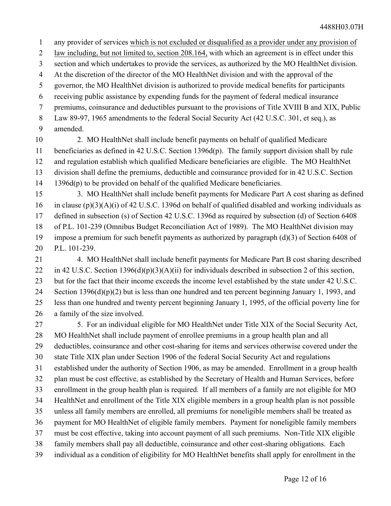- any provider of services which is not excluded or disqualified as a provider under any provision of 1
- law including, but not limited to, section 208.164, with which an agreement is in effect under this 2
- section and which undertakes to provide the services, as authorized by the MO HealthNet division. 3
- At the discretion of the director of the MO HealthNet division and with the approval of the 4
- governor, the MO HealthNet division is authorized to provide medical benefits for participants 5
- receiving public assistance by expending funds for the payment of federal medical insurance 6
- premiums, coinsurance and deductibles pursuant to the provisions of Title XVIII B and XIX, Public 7
- Law 89-97, 1965 amendments to the federal Social Security Act (42 U.S.C. 301, et seq.), as 8
- amended. 9
- 2. MO HealthNet shall include benefit payments on behalf of qualified Medicare beneficiaries as defined in 42 U.S.C. Section 1396d(p). The family support division shall by rule and regulation establish which qualified Medicare beneficiaries are eligible. The MO HealthNet division shall define the premiums, deductible and coinsurance provided for in 42 U.S.C. Section 1396d(p) to be provided on behalf of the qualified Medicare beneficiaries. 10 11 12 13 14
- 3. MO HealthNet shall include benefit payments for Medicare Part A cost sharing as defined in clause (p)(3)(A)(i) of 42 U.S.C. 1396d on behalf of qualified disabled and working individuals as defined in subsection (s) of Section 42 U.S.C. 1396d as required by subsection (d) of Section 6408 of P.L. 101-239 (Omnibus Budget Reconciliation Act of 1989). The MO HealthNet division may impose a premium for such benefit payments as authorized by paragraph (d)(3) of Section 6408 of P.L. 101-239. 15 16 17 18 19 20
- 4. MO HealthNet shall include benefit payments for Medicare Part B cost sharing described in 42 U.S.C. Section 1396(d)(p)(3)(A)(ii) for individuals described in subsection 2 of this section, but for the fact that their income exceeds the income level established by the state under 42 U.S.C. Section 1396(d)(p)(2) but is less than one hundred and ten percent beginning January 1, 1993, and less than one hundred and twenty percent beginning January 1, 1995, of the official poverty line for a family of the size involved. 21 22 23 24 25 26
- 5. For an individual eligible for MO HealthNet under Title XIX of the Social Security Act, MO HealthNet shall include payment of enrollee premiums in a group health plan and all deductibles, coinsurance and other cost-sharing for items and services otherwise covered under the state Title XIX plan under Section 1906 of the federal Social Security Act and regulations established under the authority of Section 1906, as may be amended. Enrollment in a group health plan must be cost effective, as established by the Secretary of Health and Human Services, before enrollment in the group health plan is required. If all members of a family are not eligible for MO HealthNet and enrollment of the Title XIX eligible members in a group health plan is not possible unless all family members are enrolled, all premiums for noneligible members shall be treated as payment for MO HealthNet of eligible family members. Payment for noneligible family members must be cost effective, taking into account payment of all such premiums. Non-Title XIX eligible family members shall pay all deductible, coinsurance and other cost-sharing obligations. Each individual as a condition of eligibility for MO HealthNet benefits shall apply for enrollment in the 27 28 29 30 31 32 33 34 35 36 37 38 39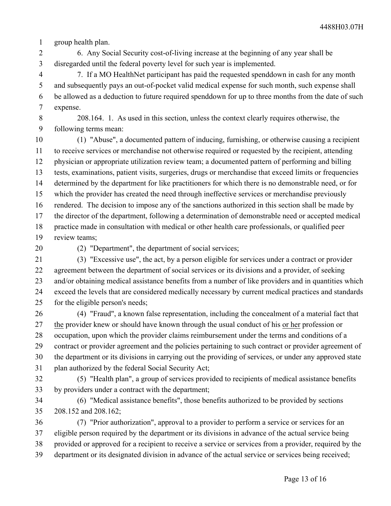group health plan. 1

6. Any Social Security cost-of-living increase at the beginning of any year shall be disregarded until the federal poverty level for such year is implemented. 2 3

7. If a MO HealthNet participant has paid the requested spenddown in cash for any month and subsequently pays an out-of-pocket valid medical expense for such month, such expense shall be allowed as a deduction to future required spenddown for up to three months from the date of such expense. 4 5 6 7

8 9

208.164. 1. As used in this section, unless the context clearly requires otherwise, the following terms mean:

(1) "Abuse", a documented pattern of inducing, furnishing, or otherwise causing a recipient to receive services or merchandise not otherwise required or requested by the recipient, attending physician or appropriate utilization review team; a documented pattern of performing and billing tests, examinations, patient visits, surgeries, drugs or merchandise that exceed limits or frequencies determined by the department for like practitioners for which there is no demonstrable need, or for which the provider has created the need through ineffective services or merchandise previously rendered. The decision to impose any of the sanctions authorized in this section shall be made by the director of the department, following a determination of demonstrable need or accepted medical practice made in consultation with medical or other health care professionals, or qualified peer review teams; 10 11 12 13 14 15 16 17 18 19

20

(2) "Department", the department of social services;

(3) "Excessive use", the act, by a person eligible for services under a contract or provider agreement between the department of social services or its divisions and a provider, of seeking and/or obtaining medical assistance benefits from a number of like providers and in quantities which exceed the levels that are considered medically necessary by current medical practices and standards for the eligible person's needs; 21 22 23 24 25

(4) "Fraud", a known false representation, including the concealment of a material fact that the provider knew or should have known through the usual conduct of his or her profession or occupation, upon which the provider claims reimbursement under the terms and conditions of a contract or provider agreement and the policies pertaining to such contract or provider agreement of the department or its divisions in carrying out the providing of services, or under any approved state plan authorized by the federal Social Security Act; 26 27 28 29 30 31

32

(5) "Health plan", a group of services provided to recipients of medical assistance benefits by providers under a contract with the department; 33

(6) "Medical assistance benefits", those benefits authorized to be provided by sections 208.152 and 208.162; 34 35

(7) "Prior authorization", approval to a provider to perform a service or services for an eligible person required by the department or its divisions in advance of the actual service being provided or approved for a recipient to receive a service or services from a provider, required by the department or its designated division in advance of the actual service or services being received; 36 37 38 39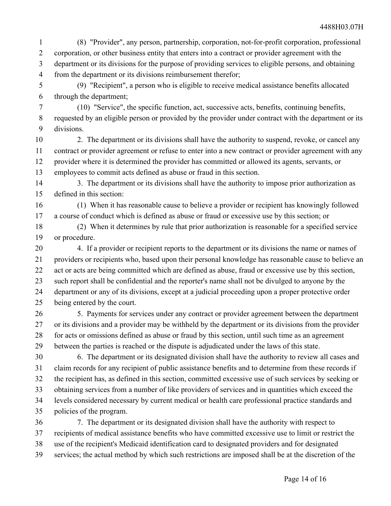(8) "Provider", any person, partnership, corporation, not-for-profit corporation, professional corporation, or other business entity that enters into a contract or provider agreement with the department or its divisions for the purpose of providing services to eligible persons, and obtaining from the department or its divisions reimbursement therefor; 1 2 3 4

(9) "Recipient", a person who is eligible to receive medical assistance benefits allocated through the department; 5 6

(10) "Service", the specific function, act, successive acts, benefits, continuing benefits, requested by an eligible person or provided by the provider under contract with the department or its divisions. 7 8 9

2. The department or its divisions shall have the authority to suspend, revoke, or cancel any contract or provider agreement or refuse to enter into a new contract or provider agreement with any provider where it is determined the provider has committed or allowed its agents, servants, or employees to commit acts defined as abuse or fraud in this section. 10 11 12 13

3. The department or its divisions shall have the authority to impose prior authorization as defined in this section: 14 15

(1) When it has reasonable cause to believe a provider or recipient has knowingly followed a course of conduct which is defined as abuse or fraud or excessive use by this section; or 16 17

(2) When it determines by rule that prior authorization is reasonable for a specified service or procedure. 18 19

4. If a provider or recipient reports to the department or its divisions the name or names of providers or recipients who, based upon their personal knowledge has reasonable cause to believe an act or acts are being committed which are defined as abuse, fraud or excessive use by this section, such report shall be confidential and the reporter's name shall not be divulged to anyone by the department or any of its divisions, except at a judicial proceeding upon a proper protective order being entered by the court. 20 21 22 23 24 25

5. Payments for services under any contract or provider agreement between the department or its divisions and a provider may be withheld by the department or its divisions from the provider for acts or omissions defined as abuse or fraud by this section, until such time as an agreement between the parties is reached or the dispute is adjudicated under the laws of this state. 26 27 28 29

6. The department or its designated division shall have the authority to review all cases and claim records for any recipient of public assistance benefits and to determine from these records if the recipient has, as defined in this section, committed excessive use of such services by seeking or obtaining services from a number of like providers of services and in quantities which exceed the levels considered necessary by current medical or health care professional practice standards and policies of the program. 30 31 32 33 34 35

7. The department or its designated division shall have the authority with respect to recipients of medical assistance benefits who have committed excessive use to limit or restrict the use of the recipient's Medicaid identification card to designated providers and for designated services; the actual method by which such restrictions are imposed shall be at the discretion of the 36 37 38 39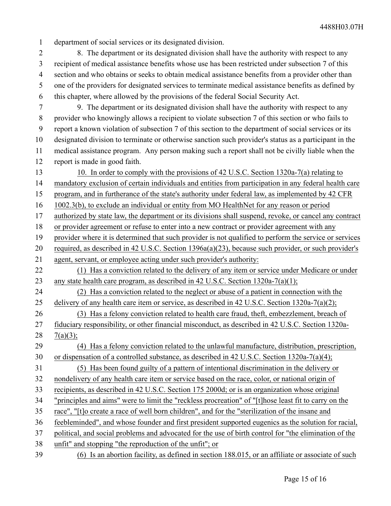department of social services or its designated division. 1

8. The department or its designated division shall have the authority with respect to any recipient of medical assistance benefits whose use has been restricted under subsection 7 of this section and who obtains or seeks to obtain medical assistance benefits from a provider other than one of the providers for designated services to terminate medical assistance benefits as defined by this chapter, where allowed by the provisions of the federal Social Security Act. 2 3 4 5 6

7

9. The department or its designated division shall have the authority with respect to any provider who knowingly allows a recipient to violate subsection 7 of this section or who fails to report a known violation of subsection 7 of this section to the department of social services or its designated division to terminate or otherwise sanction such provider's status as a participant in the medical assistance program. Any person making such a report shall not be civilly liable when the report is made in good faith. 8 9 10 11 12

10. In order to comply with the provisions of 42 U.S.C. Section 1320a-7(a) relating to mandatory exclusion of certain individuals and entities from participation in any federal health care program, and in furtherance of the state's authority under federal law, as implemented by 42 CFR 13 14 15

1002.3(b), to exclude an individual or entity from MO HealthNet for any reason or period 16

authorized by state law, the department or its divisions shall suspend, revoke, or cancel any contract 17

or provider agreement or refuse to enter into a new contract or provider agreement with any 18

provider where it is determined that such provider is not qualified to perform the service or services required, as described in 42 U.S.C. Section 1396a(a)(23), because such provider, or such provider's 19 20

agent, servant, or employee acting under such provider's authority: 21

(1) Has a conviction related to the delivery of any item or service under Medicare or under any state health care program, as described in 42 U.S.C. Section 1320a-7(a)(1); 22 23

(2) Has a conviction related to the neglect or abuse of a patient in connection with the delivery of any health care item or service, as described in 42 U.S.C. Section 1320a-7(a)(2); 24 25

(3) Has a felony conviction related to health care fraud, theft, embezzlement, breach of fiduciary responsibility, or other financial misconduct, as described in 42 U.S.C. Section 1320a-26 27

 $7(a)(3);$ 28

(4) Has a felony conviction related to the unlawful manufacture, distribution, prescription, or dispensation of a controlled substance, as described in 42 U.S.C. Section 1320a-7(a)(4); 29 30

(5) Has been found guilty of a pattern of intentional discrimination in the delivery or 31

nondelivery of any health care item or service based on the race, color, or national origin of 32

recipients, as described in 42 U.S.C. Section 175 2000d; or is an organization whose original 33

"principles and aims" were to limit the "reckless procreation" of "[t]hose least fit to carry on the 34

race", "[t]o create a race of well born children", and for the "sterilization of the insane and 35

feebleminded", and whose founder and first president supported eugenics as the solution for racial, 36

political, and social problems and advocated for the use of birth control for "the elimination of the 37

unfit" and stopping "the reproduction of the unfit"; or 38

(6) Is an abortion facility, as defined in section 188.015, or an affiliate or associate of such 39